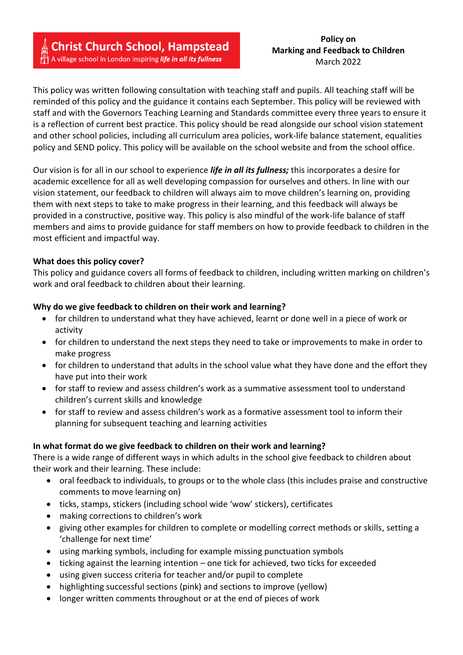This policy was written following consultation with teaching staff and pupils. All teaching staff will be reminded of this policy and the guidance it contains each September. This policy will be reviewed with staff and with the Governors Teaching Learning and Standards committee every three years to ensure it is a reflection of current best practice. This policy should be read alongside our school vision statement and other school policies, including all curriculum area policies, work-life balance statement, equalities policy and SEND policy. This policy will be available on the school website and from the school office.

Our vision is for all in our school to experience *life in all its fullness;* this incorporates a desire for academic excellence for all as well developing compassion for ourselves and others. In line with our vision statement, our feedback to children will always aim to move children's learning on, providing them with next steps to take to make progress in their learning, and this feedback will always be provided in a constructive, positive way. This policy is also mindful of the work-life balance of staff members and aims to provide guidance for staff members on how to provide feedback to children in the most efficient and impactful way.

### **What does this policy cover?**

This policy and guidance covers all forms of feedback to children, including written marking on children's work and oral feedback to children about their learning.

#### **Why do we give feedback to children on their work and learning?**

- for children to understand what they have achieved, learnt or done well in a piece of work or activity
- for children to understand the next steps they need to take or improvements to make in order to make progress
- for children to understand that adults in the school value what they have done and the effort they have put into their work
- for staff to review and assess children's work as a summative assessment tool to understand children's current skills and knowledge
- for staff to review and assess children's work as a formative assessment tool to inform their planning for subsequent teaching and learning activities

### **In what format do we give feedback to children on their work and learning?**

There is a wide range of different ways in which adults in the school give feedback to children about their work and their learning. These include:

- oral feedback to individuals, to groups or to the whole class (this includes praise and constructive comments to move learning on)
- ticks, stamps, stickers (including school wide 'wow' stickers), certificates
- making corrections to children's work
- giving other examples for children to complete or modelling correct methods or skills, setting a 'challenge for next time'
- using marking symbols, including for example missing punctuation symbols
- ticking against the learning intention one tick for achieved, two ticks for exceeded
- using given success criteria for teacher and/or pupil to complete
- highlighting successful sections (pink) and sections to improve (yellow)
- longer written comments throughout or at the end of pieces of work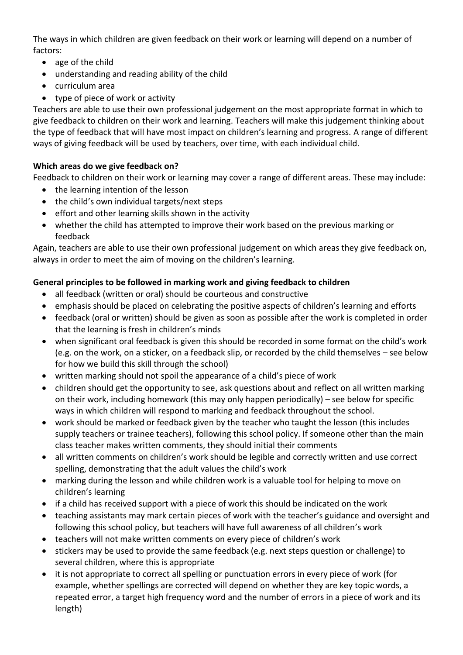The ways in which children are given feedback on their work or learning will depend on a number of factors:

- age of the child
- understanding and reading ability of the child
- curriculum area
- type of piece of work or activity

Teachers are able to use their own professional judgement on the most appropriate format in which to give feedback to children on their work and learning. Teachers will make this judgement thinking about the type of feedback that will have most impact on children's learning and progress. A range of different ways of giving feedback will be used by teachers, over time, with each individual child.

## **Which areas do we give feedback on?**

Feedback to children on their work or learning may cover a range of different areas. These may include:

- the learning intention of the lesson
- the child's own individual targets/next steps
- effort and other learning skills shown in the activity
- whether the child has attempted to improve their work based on the previous marking or feedback

Again, teachers are able to use their own professional judgement on which areas they give feedback on, always in order to meet the aim of moving on the children's learning.

# **General principles to be followed in marking work and giving feedback to children**

- all feedback (written or oral) should be courteous and constructive
- emphasis should be placed on celebrating the positive aspects of children's learning and efforts
- feedback (oral or written) should be given as soon as possible after the work is completed in order that the learning is fresh in children's minds
- when significant oral feedback is given this should be recorded in some format on the child's work (e.g. on the work, on a sticker, on a feedback slip, or recorded by the child themselves – see below for how we build this skill through the school)
- written marking should not spoil the appearance of a child's piece of work
- children should get the opportunity to see, ask questions about and reflect on all written marking on their work, including homework (this may only happen periodically) – see below for specific ways in which children will respond to marking and feedback throughout the school.
- work should be marked or feedback given by the teacher who taught the lesson (this includes supply teachers or trainee teachers), following this school policy. If someone other than the main class teacher makes written comments, they should initial their comments
- all written comments on children's work should be legible and correctly written and use correct spelling, demonstrating that the adult values the child's work
- marking during the lesson and while children work is a valuable tool for helping to move on children's learning
- if a child has received support with a piece of work this should be indicated on the work
- teaching assistants may mark certain pieces of work with the teacher's guidance and oversight and following this school policy, but teachers will have full awareness of all children's work
- teachers will not make written comments on every piece of children's work
- stickers may be used to provide the same feedback (e.g. next steps question or challenge) to several children, where this is appropriate
- it is not appropriate to correct all spelling or punctuation errors in every piece of work (for example, whether spellings are corrected will depend on whether they are key topic words, a repeated error, a target high frequency word and the number of errors in a piece of work and its length)